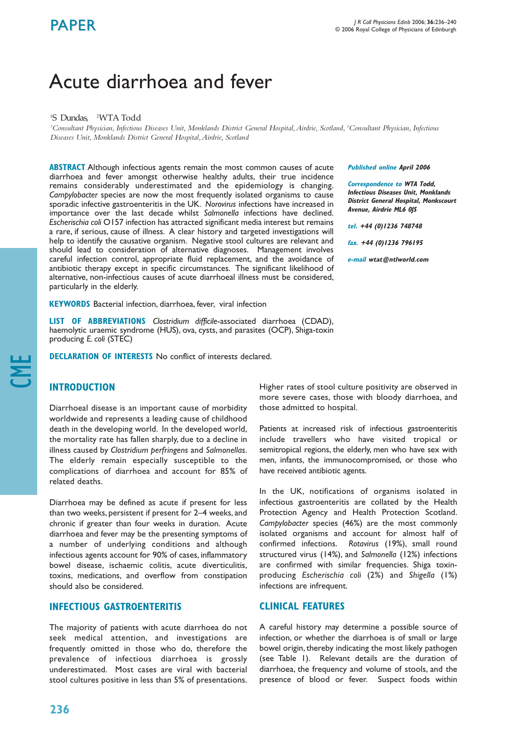# Acute diarrhoea and fever

## 1 S Dundas, <sup>2</sup> WTA Todd

*1 Consultant Physician, Infectious Diseases Unit, Monklands District General Hospital,Airdrie, Scotland, <sup>2</sup> Consultant Physician, Infectious Diseases Unit, Monklands District General Hospital,Airdrie, Scotland*

**ABSTRACT** Although infectious agents remain the most common causes of acute diarrhoea and fever amongst otherwise healthy adults, their true incidence remains considerably underestimated and the epidemiology is changing. *Campylobacter* species are now the most frequently isolated organisms to cause sporadic infective gastroenteritis in the UK. *Norovirus* infections have increased in importance over the last decade whilst *Salmonella* infections have declined. *Escherischia coli* O157 infection has attracted significant media interest but remains a rare, if serious, cause of illness. A clear history and targeted investigations will help to identify the causative organism. Negative stool cultures are relevant and should lead to consideration of alternative diagnoses. Management involves careful infection control, appropriate fluid replacement, and the avoidance of antibiotic therapy except in specific circumstances. The significant likelihood of alternative, non-infectious causes of acute diarrhoeal illness must be considered, particularly in the elderly.

**KEYWORDS** Bacterial infection, diarrhoea, fever, viral infection

**LIST OF ABBREVIATIONS** *Clostridium difficile*-associated diarrhoea (CDAD), haemolytic uraemic syndrome (HUS), ova, cysts, and parasites (OCP), Shiga-toxin producing *E. coli* (STEC)

**DECLARATION OF INTERESTS** No conflict of interests declared.

## **INTRODUCTION**

CME

Diarrhoeal disease is an important cause of morbidity worldwide and represents a leading cause of childhood death in the developing world. In the developed world, the mortality rate has fallen sharply, due to a decline in illness caused by *Clostridium perfringens* and *Salmonellas*. The elderly remain especially susceptible to the complications of diarrhoea and account for 85% of related deaths.

Diarrhoea may be defined as acute if present for less than two weeks, persistent if present for 2–4 weeks, and chronic if greater than four weeks in duration. Acute diarrhoea and fever may be the presenting symptoms of a number of underlying conditions and although infectious agents account for 90% of cases, inflammatory bowel disease, ischaemic colitis, acute diverticulitis, toxins, medications, and overflow from constipation should also be considered.

# **INFECTIOUS GASTROENTERITIS**

The majority of patients with acute diarrhoea do not seek medical attention, and investigations are frequently omitted in those who do, therefore the prevalence of infectious diarrhoea is grossly underestimated. Most cases are viral with bacterial stool cultures positive in less than 5% of presentations.

**Published online April 2006**

**Correspondence to WTA Todd, Infectious Diseases Unit, Monklands District General Hospital, Monkscourt Avenue, Airdrie ML6 0JS**

**tel. +44 (0)1236 748748**

**fax. +44 (0)1236 796195**

**e-mail wtat@ntlworld.com**

Higher rates of stool culture positivity are observed in more severe cases, those with bloody diarrhoea, and those admitted to hospital.

Patients at increased risk of infectious gastroenteritis include travellers who have visited tropical or semitropical regions, the elderly, men who have sex with men, infants, the immunocompromised, or those who have received antibiotic agents.

In the UK, notifications of organisms isolated in infectious gastroenteritis are collated by the Health Protection Agency and Health Protection Scotland. *Campylobacter* species (46%) are the most commonly isolated organisms and account for almost half of confirmed infections. *Rotavirus* (19%), small round structured virus (14%), and *Salmonella* (12%) infections are confirmed with similar frequencies. Shiga toxinproducing *Escherischia coli* (2%) and *Shigella* (1%) infections are infrequent.

# **CLINICAL FEATURES**

A careful history may determine a possible source of infection, or whether the diarrhoea is of small or large bowel origin, thereby indicating the most likely pathogen (see Table 1). Relevant details are the duration of diarrhoea, the frequency and volume of stools, and the presence of blood or fever. Suspect foods within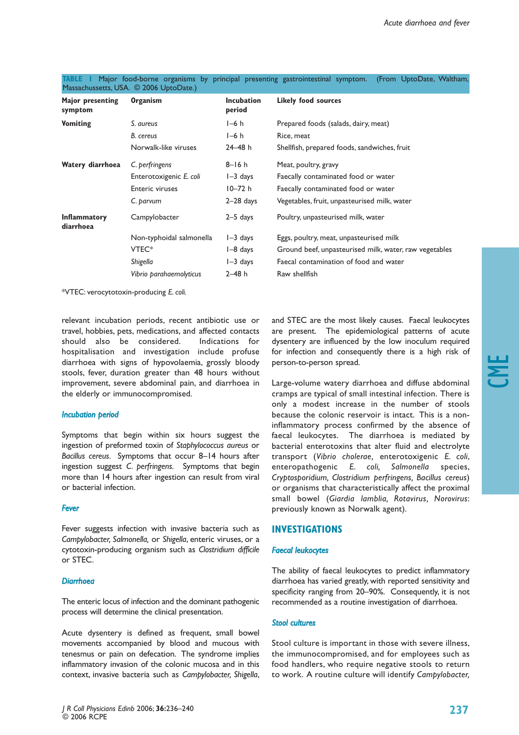| Major presenting<br>symptom      | <b>Organism</b>          | <b>Incubation</b><br>period | <b>Likely food sources</b>                             |
|----------------------------------|--------------------------|-----------------------------|--------------------------------------------------------|
| <b>Vomiting</b>                  | S. aureus                | $I-6$ h                     | Prepared foods (salads, dairy, meat)                   |
|                                  | B. cereus                | $I-6$ h                     | Rice, meat                                             |
|                                  | Norwalk-like viruses     | $24 - 48 h$                 | Shellfish, prepared foods, sandwiches, fruit           |
| Watery diarrhoea                 | C. perfringens           | $8 - 16h$                   | Meat, poultry, gravy                                   |
|                                  | Enterotoxigenic E. coli  | $I - 3$ days                | Faecally contaminated food or water                    |
|                                  | <b>Enteric viruses</b>   | $10 - 72 h$                 | Faecally contaminated food or water                    |
|                                  | C. parvum                | $2-28$ days                 | Vegetables, fruit, unpasteurised milk, water           |
| <b>Inflammatory</b><br>diarrhoea | Campylobacter            | $2-5$ days                  | Poultry, unpasteurised milk, water                     |
|                                  | Non-typhoidal salmonella | $I - 3$ days                | Eggs, poultry, meat, unpasteurised milk                |
|                                  | VTEC <sup>*</sup>        | $I - 8$ days                | Ground beef, unpasteurised milk, water, raw vegetables |
|                                  | Shigella                 | $I - 3$ days                | Faecal contamination of food and water                 |
|                                  | Vibrio parahaemolyticus  | $2 - 48$ h                  | Raw shellfish                                          |

**TABLE 1** Major food-borne organisms by principal presenting gastrointestinal symptom. (From UptoDate, Waltham, Massachussetts, USA. © 2006 UptoDate.)

\*VTEC: verocytotoxin-producing *E. coli.*

relevant incubation periods, recent antibiotic use or travel, hobbies, pets, medications, and affected contacts should also be considered. Indications for hospitalisation and investigation include profuse diarrhoea with signs of hypovolaemia, grossly bloody stools, fever, duration greater than 48 hours without improvement, severe abdominal pain, and diarrhoea in the elderly or immunocompromised.

## *Incubation period*

Symptoms that begin within six hours suggest the ingestion of preformed toxin of *Staphylococcus aureus* or *Bacillus cereus*. Symptoms that occur 8–14 hours after ingestion suggest *C. perfringens.* Symptoms that begin more than 14 hours after ingestion can result from viral or bacterial infection.

## *Fever*

Fever suggests infection with invasive bacteria such as *Campylobacter, Salmonella,* or *Shigella*, enteric viruses, or a cytotoxin-producing organism such as *Clostridium difficile* or STEC.

## *Diarrhoea*

The enteric locus of infection and the dominant pathogenic process will determine the clinical presentation.

Acute dysentery is defined as frequent, small bowel movements accompanied by blood and mucous with tenesmus or pain on defecation. The syndrome implies inflammatory invasion of the colonic mucosa and in this context, invasive bacteria such as *Campylobacter, Shigella*, and STEC are the most likely causes. Faecal leukocytes are present. The epidemiological patterns of acute dysentery are influenced by the low inoculum required for infection and consequently there is a high risk of person-to-person spread.

Large-volume watery diarrhoea and diffuse abdominal cramps are typical of small intestinal infection. There is only a modest increase in the number of stools because the colonic reservoir is intact. This is a noninflammatory process confirmed by the absence of faecal leukocytes. The diarrhoea is mediated by bacterial enterotoxins that alter fluid and electrolyte transport (*Vibrio cholerae,* enterotoxigenic *E. coli*, enteropathogenic *E. coli, Salmonella* species, *Cryptosporidium, Clostridium perfringens, Bacillus cereus*) or organisms that characteristically affect the proximal small bowel (*Giardia lamblia, Rotavirus, Norovirus*: previously known as Norwalk agent).

## **INVESTIGATIONS**

## *Faecal leukocytes*

The ability of faecal leukocytes to predict inflammatory diarrhoea has varied greatly, with reported sensitivity and specificity ranging from 20–90%. Consequently, it is not recommended as a routine investigation of diarrhoea.

## *Stool cultures*

Stool culture is important in those with severe illness, the immunocompromised, and for employees such as food handlers, who require negative stools to return to work. A routine culture will identify *Campylobacter,*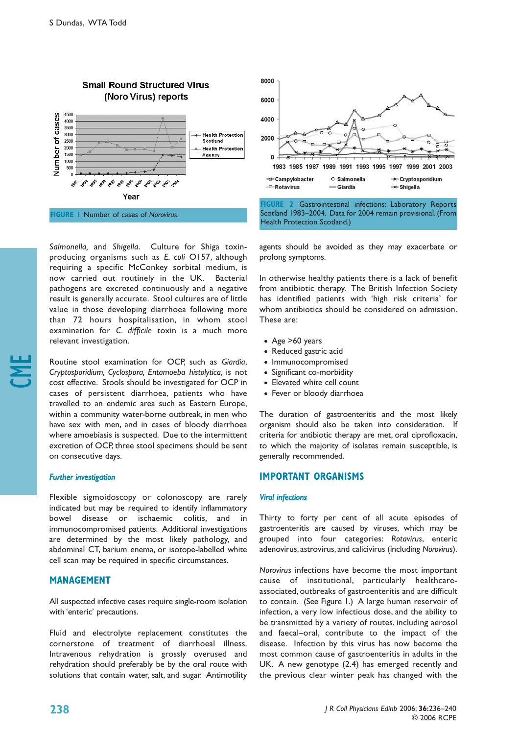

**FIGURE 1** Number of cases of *Norovirus.*

*Salmonella,* and *Shigella*. Culture for Shiga toxinproducing organisms such as *E. coli* O157, although requiring a specific McConkey sorbital medium, is now carried out routinely in the UK. Bacterial pathogens are excreted continuously and a negative result is generally accurate. Stool cultures are of little value in those developing diarrhoea following more than 72 hours hospitalisation, in whom stool examination for *C. difficile* toxin is a much more relevant investigation.

Routine stool examination for OCP, such as *Giardia*, *Cryptosporidium, Cyclospora, Entamoeba histolytica*, is not cost effective. Stools should be investigated for OCP in cases of persistent diarrhoea, patients who have travelled to an endemic area such as Eastern Europe, within a community water-borne outbreak, in men who have sex with men, and in cases of bloody diarrhoea where amoebiasis is suspected. Due to the intermittent excretion of OCP, three stool specimens should be sent on consecutive days.

## *Further investigation*

CME

Flexible sigmoidoscopy or colonoscopy are rarely indicated but may be required to identify inflammatory bowel disease or ischaemic colitis, and in immunocompromised patients. Additional investigations are determined by the most likely pathology, and abdominal CT, barium enema, or isotope-labelled white cell scan may be required in specific circumstances.

## **MANAGEMENT**

All suspected infective cases require single-room isolation with 'enteric' precautions.

Fluid and electrolyte replacement constitutes the cornerstone of treatment of diarrhoeal illness. Intravenous rehydration is grossly overused and rehydration should preferably be by the oral route with solutions that contain water, salt, and sugar. Antimotility



**FIGURE 2** Gastrointestinal infections: Laboratory Reports Scotland 1983–2004. Data for 2004 remain provisional. (From Health Protection Scotland.)

agents should be avoided as they may exacerbate or prolong symptoms.

In otherwise healthy patients there is a lack of benefit from antibiotic therapy. The British Infection Society has identified patients with 'high risk criteria' for whom antibiotics should be considered on admission. These are:

- Age >60 years
- Reduced gastric acid
- Immunocompromised
- Significant co-morbidity
- Elevated white cell count
- Fever or bloody diarrhoea

The duration of gastroenteritis and the most likely organism should also be taken into consideration. If criteria for antibiotic therapy are met, oral ciprofloxacin, to which the majority of isolates remain susceptible, is generally recommended.

## **IMPORTANT ORGANISMS**

## *Viral infections*

Thirty to forty per cent of all acute episodes of gastroenteritis are caused by viruses, which may be grouped into four categories: *Rotavirus*, enteric adenovirus, astrovirus, and calicivirus (including *Norovirus*).

*Norovirus* infections have become the most important cause of institutional, particularly healthcareassociated, outbreaks of gastroenteritis and are difficult to contain. (See Figure 1.) A large human reservoir of infection, a very low infectious dose, and the ability to be transmitted by a variety of routes, including aerosol and faecal–oral, contribute to the impact of the disease. Infection by this virus has now become the most common cause of gastroenteritis in adults in the UK. A new genotype (2.4) has emerged recently and the previous clear winter peak has changed with the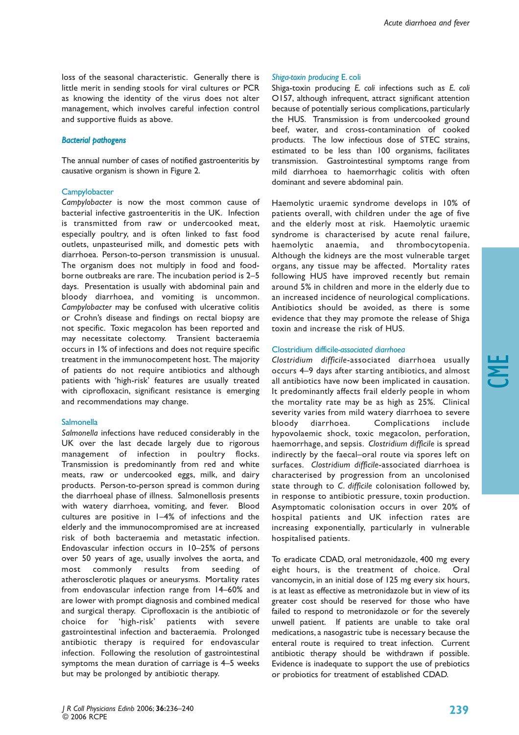loss of the seasonal characteristic. Generally there is little merit in sending stools for viral cultures or PCR as knowing the identity of the virus does not alter management, which involves careful infection control and supportive fluids as above.

## *Bacterial pathogens*

The annual number of cases of notified gastroenteritis by causative organism is shown in Figure 2.

#### **Campylobacter**

*Campylobacter* is now the most common cause of bacterial infective gastroenteritis in the UK. Infection is transmitted from raw or undercooked meat, especially poultry, and is often linked to fast food outlets, unpasteurised milk, and domestic pets with diarrhoea. Person-to-person transmission is unusual. The organism does not multiply in food and foodborne outbreaks are rare. The incubation period is 2–5 days. Presentation is usually with abdominal pain and bloody diarrhoea, and vomiting is uncommon. *Campylobacter* may be confused with ulcerative colitis or Crohn's disease and findings on rectal biopsy are not specific. Toxic megacolon has been reported and may necessitate colectomy. Transient bacteraemia occurs in 1% of infections and does not require specific treatment in the immunocompetent host. The majority of patients do not require antibiotics and although patients with 'high-risk' features are usually treated with ciprofloxacin, significant resistance is emerging and recommendations may change.

#### **Salmonella**

*Salmonella* infections have reduced considerably in the UK over the last decade largely due to rigorous management of infection in poultry flocks. Transmission is predominantly from red and white meats, raw or undercooked eggs, milk, and dairy products. Person-to-person spread is common during the diarrhoeal phase of illness. Salmonellosis presents with watery diarrhoea, vomiting, and fever. Blood cultures are positive in 1–4% of infections and the elderly and the immunocompromised are at increased risk of both bacteraemia and metastatic infection. Endovascular infection occurs in 10–25% of persons over 50 years of age, usually involves the aorta, and most commonly results from seeding of atherosclerotic plaques or aneurysms. Mortality rates from endovascular infection range from 14–60% and are lower with prompt diagnosis and combined medical and surgical therapy. Ciprofloxacin is the antibiotic of choice for 'high-risk' patients with severe gastrointestinal infection and bacteraemia. Prolonged antibiotic therapy is required for endovascular infection. Following the resolution of gastrointestinal symptoms the mean duration of carriage is 4–5 weeks but may be prolonged by antibiotic therapy.

#### *Shiga-toxin producing* E. coli

Shiga-toxin producing *E. coli* infections such as *E. coli* O157, although infrequent, attract significant attention because of potentially serious complications, particularly the HUS. Transmission is from undercooked ground beef, water, and cross-contamination of cooked products. The low infectious dose of STEC strains, estimated to be less than 100 organisms, facilitates transmission. Gastrointestinal symptoms range from mild diarrhoea to haemorrhagic colitis with often dominant and severe abdominal pain.

Haemolytic uraemic syndrome develops in 10% of patients overall, with children under the age of five and the elderly most at risk. Haemolytic uraemic syndrome is characterised by acute renal failure, haemolytic anaemia, and thrombocytopenia. Although the kidneys are the most vulnerable target organs, any tissue may be affected. Mortality rates following HUS have improved recently but remain around 5% in children and more in the elderly due to an increased incidence of neurological complications. Antibiotics should be avoided, as there is some evidence that they may promote the release of Shiga toxin and increase the risk of HUS.

#### Clostridium difficile*-associated diarrhoea*

*Clostridium difficile*-associated diarrhoea usually occurs 4–9 days after starting antibiotics, and almost all antibiotics have now been implicated in causation. It predominantly affects frail elderly people in whom the mortality rate may be as high as 25%. Clinical severity varies from mild watery diarrhoea to severe bloody diarrhoea. Complications include hypovolaemic shock, toxic megacolon, perforation, haemorrhage, and sepsis. *Clostridium difficile* is spread indirectly by the faecal–oral route via spores left on surfaces. *Clostridium difficile*-associated diarrhoea is characterised by progression from an uncolonised state through to *C. difficile* colonisation followed by, in response to antibiotic pressure, toxin production. Asymptomatic colonisation occurs in over 20% of hospital patients and UK infection rates are increasing exponentially, particularly in vulnerable hospitalised patients.

To eradicate CDAD, oral metronidazole, 400 mg every eight hours, is the treatment of choice. Oral vancomycin, in an initial dose of 125 mg every six hours, is at least as effective as metronidazole but in view of its greater cost should be reserved for those who have failed to respond to metronidazole or for the severely unwell patient. If patients are unable to take oral medications, a nasogastric tube is necessary because the enteral route is required to treat infection. Current antibiotic therapy should be withdrawn if possible. Evidence is inadequate to support the use of prebiotics or probiotics for treatment of established CDAD.

CME